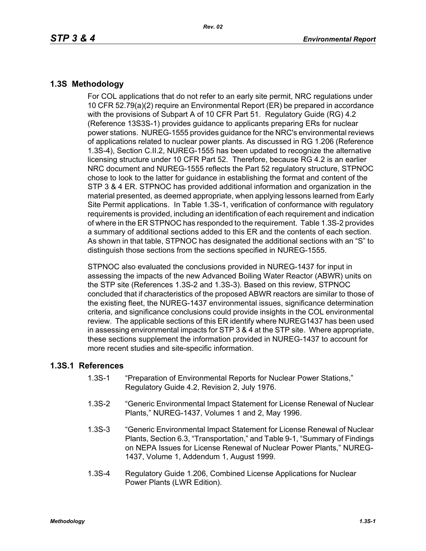## **1.3S Methodology**

For COL applications that do not refer to an early site permit, NRC regulations under 10 CFR 52.79(a)(2) require an Environmental Report (ER) be prepared in accordance with the provisions of Subpart A of 10 CFR Part 51. Regulatory Guide (RG) 4.2 (Reference 13S3S-1) provides guidance to applicants preparing ERs for nuclear power stations. NUREG-1555 provides guidance for the NRC's environmental reviews of applications related to nuclear power plants. As discussed in RG 1.206 (Reference 1.3S-4), Section C.II.2, NUREG-1555 has been updated to recognize the alternative licensing structure under 10 CFR Part 52. Therefore, because RG 4.2 is an earlier NRC document and NUREG-1555 reflects the Part 52 regulatory structure, STPNOC chose to look to the latter for guidance in establishing the format and content of the STP 3 & 4 ER. STPNOC has provided additional information and organization in the material presented, as deemed appropriate, when applying lessons learned from Early Site Permit applications. In Table 1.3S-1, verification of conformance with regulatory requirements is provided, including an identification of each requirement and indication of where in the ER STPNOC has responded to the requirement. Table 1.3S-2 provides a summary of additional sections added to this ER and the contents of each section. As shown in that table, STPNOC has designated the additional sections with an "S" to distinguish those sections from the sections specified in NUREG-1555.

STPNOC also evaluated the conclusions provided in NUREG-1437 for input in assessing the impacts of the new Advanced Boiling Water Reactor (ABWR) units on the STP site (References 1.3S-2 and 1.3S-3). Based on this review, STPNOC concluded that if characteristics of the proposed ABWR reactors are similar to those of the existing fleet, the NUREG-1437 environmental issues, significance determination criteria, and significance conclusions could provide insights in the COL environmental review. The applicable sections of this ER identify where NUREG1437 has been used in assessing environmental impacts for STP 3 & 4 at the STP site. Where appropriate, these sections supplement the information provided in NUREG-1437 to account for more recent studies and site-specific information.

## **1.3S.1 References**

- 1.3S-1 "Preparation of Environmental Reports for Nuclear Power Stations," Regulatory Guide 4.2, Revision 2, July 1976.
- 1.3S-2 "Generic Environmental Impact Statement for License Renewal of Nuclear Plants," NUREG-1437, Volumes 1 and 2, May 1996.
- 1.3S-3 "Generic Environmental Impact Statement for License Renewal of Nuclear Plants, Section 6.3, "Transportation," and Table 9-1, "Summary of Findings on NEPA Issues for License Renewal of Nuclear Power Plants," NUREG-1437, Volume 1, Addendum 1, August 1999.
- 1.3S-4 Regulatory Guide 1.206, Combined License Applications for Nuclear Power Plants (LWR Edition).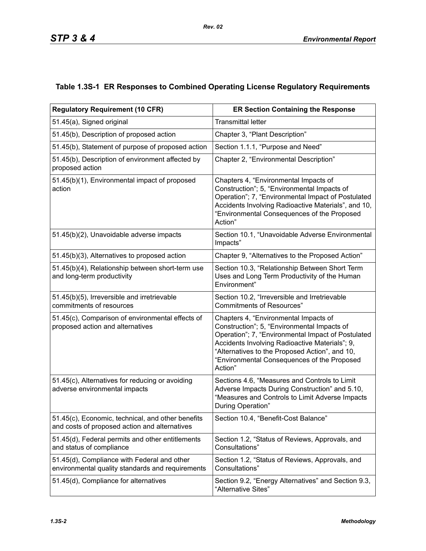## **Table 1.3S-1 ER Responses to Combined Operating License Regulatory Requirements**

| <b>Regulatory Requirement (10 CFR)</b>                                                             | <b>ER Section Containing the Response</b>                                                                                                                                                                                                                                                                |  |  |  |
|----------------------------------------------------------------------------------------------------|----------------------------------------------------------------------------------------------------------------------------------------------------------------------------------------------------------------------------------------------------------------------------------------------------------|--|--|--|
| 51.45(a), Signed original                                                                          | <b>Transmittal letter</b>                                                                                                                                                                                                                                                                                |  |  |  |
| 51.45(b), Description of proposed action                                                           | Chapter 3, "Plant Description"                                                                                                                                                                                                                                                                           |  |  |  |
| 51.45(b), Statement of purpose of proposed action                                                  | Section 1.1.1, "Purpose and Need"                                                                                                                                                                                                                                                                        |  |  |  |
| 51.45(b), Description of environment affected by<br>proposed action                                | Chapter 2, "Environmental Description"                                                                                                                                                                                                                                                                   |  |  |  |
| 51.45(b)(1), Environmental impact of proposed<br>action                                            | Chapters 4, "Environmental Impacts of<br>Construction"; 5, "Environmental Impacts of<br>Operation"; 7, "Environmental Impact of Postulated<br>Accidents Involving Radioactive Materials", and 10,<br>"Environmental Consequences of the Proposed<br>Action"                                              |  |  |  |
| 51.45(b)(2), Unavoidable adverse impacts                                                           | Section 10.1, "Unavoidable Adverse Environmental<br>Impacts"                                                                                                                                                                                                                                             |  |  |  |
| 51.45(b)(3), Alternatives to proposed action                                                       | Chapter 9, "Alternatives to the Proposed Action"                                                                                                                                                                                                                                                         |  |  |  |
| 51.45(b)(4), Relationship between short-term use<br>and long-term productivity                     | Section 10.3, "Relationship Between Short Term<br>Uses and Long Term Productivity of the Human<br>Environment"                                                                                                                                                                                           |  |  |  |
| 51.45(b)(5), Irreversible and irretrievable<br>commitments of resources                            | Section 10.2, "Irreversible and Irretrievable<br><b>Commitments of Resources"</b>                                                                                                                                                                                                                        |  |  |  |
| 51.45(c), Comparison of environmental effects of<br>proposed action and alternatives               | Chapters 4, "Environmental Impacts of<br>Construction"; 5, "Environmental Impacts of<br>Operation"; 7, "Environmental Impact of Postulated<br>Accidents Involving Radioactive Materials"; 9,<br>"Alternatives to the Proposed Action", and 10,<br>"Environmental Consequences of the Proposed<br>Action" |  |  |  |
| 51.45(c), Alternatives for reducing or avoiding<br>adverse environmental impacts                   | Sections 4.6, "Measures and Controls to Limit<br>Adverse Impacts During Construction" and 5.10,<br>"Measures and Controls to Limit Adverse Impacts<br>During Operation"                                                                                                                                  |  |  |  |
| 51.45(c), Economic, technical, and other benefits<br>and costs of proposed action and alternatives | Section 10.4, "Benefit-Cost Balance'                                                                                                                                                                                                                                                                     |  |  |  |
| 51.45(d), Federal permits and other entitlements<br>and status of compliance                       | Section 1.2, "Status of Reviews, Approvals, and<br>Consultations"                                                                                                                                                                                                                                        |  |  |  |
| 51.45(d), Compliance with Federal and other<br>environmental quality standards and requirements    | Section 1.2, "Status of Reviews, Approvals, and<br>Consultations"                                                                                                                                                                                                                                        |  |  |  |
| 51.45(d), Compliance for alternatives                                                              | Section 9.2, "Energy Alternatives" and Section 9.3,<br>"Alternative Sites"                                                                                                                                                                                                                               |  |  |  |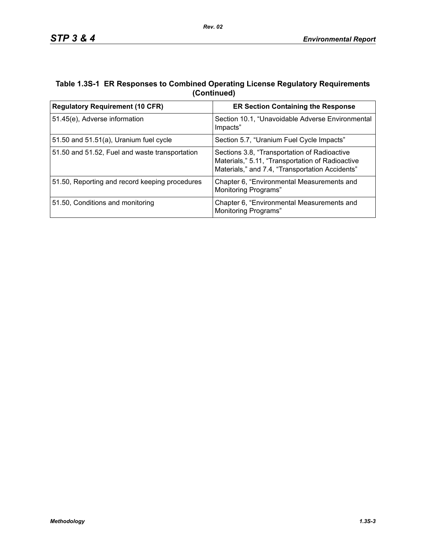## **Table 1.3S-1 ER Responses to Combined Operating License Regulatory Requirements (Continued)**

| <b>Regulatory Requirement (10 CFR)</b>         | <b>ER Section Containing the Response</b>                                                                                                           |  |  |
|------------------------------------------------|-----------------------------------------------------------------------------------------------------------------------------------------------------|--|--|
| 51.45(e), Adverse information                  | Section 10.1, "Unavoidable Adverse Environmental<br>Impacts"                                                                                        |  |  |
| 51.50 and $51.51(a)$ , Uranium fuel cycle      | Section 5.7, "Uranium Fuel Cycle Impacts"                                                                                                           |  |  |
| 51.50 and 51.52, Fuel and waste transportation | Sections 3.8, "Transportation of Radioactive<br>Materials," 5.11, "Transportation of Radioactive<br>Materials," and 7.4, "Transportation Accidents" |  |  |
| 51.50, Reporting and record keeping procedures | Chapter 6, "Environmental Measurements and<br><b>Monitoring Programs"</b>                                                                           |  |  |
| 51.50, Conditions and monitoring               | Chapter 6, "Environmental Measurements and<br>Monitoring Programs"                                                                                  |  |  |